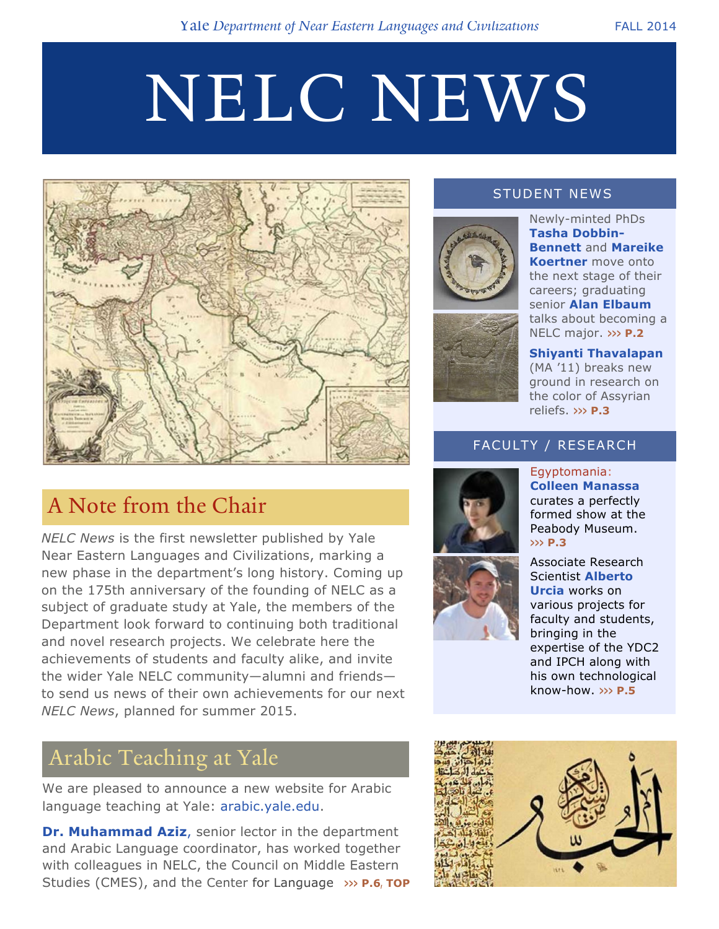# NELC NEWS



## A Note from the Chair

*NELC News* is the first newsletter published by Yale Near Eastern Languages and Civilizations, marking a new phase in the department's long history. Coming up on the 175th anniversary of the founding of NELC as a subject of graduate study at Yale, the members of the Department look forward to continuing both traditional and novel research projects. We celebrate here the achievements of students and faculty alike, and invite the wider Yale NELC community—alumni and friends to send us news of their own achievements for our next *NELC News*, planned for summer 2015.

### Arabic Teaching at Yale

We are pleased to announce a new website for Arabic language teaching at Yale: arabic.yale.edu.

**Dr. Muhammad Aziz**, senior lector in the department and Arabic Language coordinator, has worked together with colleagues in NELC, the Council on Middle Eastern Studies (CMES), and the Center for Language >>> P.6, TOP

### STUDENT NEWS



Newly-minted PhDs **Tasha Dobbin-Bennett** and **Mareike Koertner** move onto the next stage of their careers; graduating senior **Alan Elbaum** talks about becoming a NELC major. **>>> P.2**

**Shiyanti Thavalapan** (MA '11) breaks new ground in research on the color of Assyrian reliefs. **>>> P.3**

### FACULTY / RESEARCH





Egyptomania: **Colleen Manassa**

Associate Research Scientist **Alberto Urcia** works on various projects for faculty and students, bringing in the expertise of the YDC2 and IPCH along with his own technological know-how. **>>> P.5**

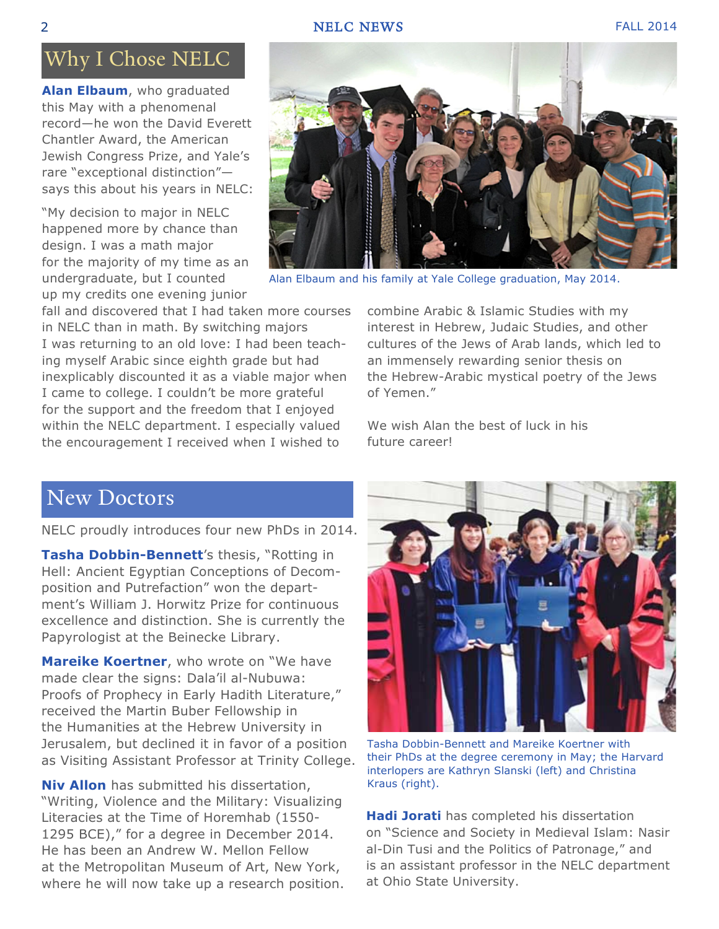#### 2 **NELC NEWS** FALL 2014

### Why I Chose NELC

**Alan Elbaum**, who graduated this May with a phenomenal record—he won the David Everett Chantler Award, the American Jewish Congress Prize, and Yale's rare "exceptional distinction" says this about his years in NELC:

"My decision to major in NELC happened more by chance than design. I was a math major for the majority of my time as an undergraduate, but I counted up my credits one evening junior

fall and discovered that I had taken more courses in NELC than in math. By switching majors I was returning to an old love: I had been teaching myself Arabic since eighth grade but had inexplicably discounted it as a viable major when I came to college. I couldn't be more grateful for the support and the freedom that I enjoyed within the NELC department. I especially valued the encouragement I received when I wished to

combine Arabic & Islamic Studies with my interest in Hebrew, Judaic Studies, and other cultures of the Jews of Arab lands, which led to an immensely rewarding senior thesis on the Hebrew-Arabic mystical poetry of the Jews of Yemen."

We wish Alan the best of luck in his future career!

### New Doctors

NELC proudly introduces four new PhDs in 2014.

**Tasha Dobbin-Bennett**'s thesis, "Rotting in Hell: Ancient Egyptian Conceptions of Decomposition and Putrefaction" won the department's William J. Horwitz Prize for continuous excellence and distinction. She is currently the Papyrologist at the Beinecke Library.

**Mareike Koertner**, who wrote on "We have made clear the signs: Dala'il al-Nubuwa: Proofs of Prophecy in Early Hadith Literature," received the Martin Buber Fellowship in the Humanities at the Hebrew University in Jerusalem, but declined it in favor of a position as Visiting Assistant Professor at Trinity College.

**Niv Allon** has submitted his dissertation, "Writing, Violence and the Military: Visualizing Literacies at the Time of Horemhab (1550- 1295 BCE)," for a degree in December 2014. He has been an Andrew W. Mellon Fellow at the Metropolitan Museum of Art, New York, where he will now take up a research position.



their PhDs at the degree ceremony in May; the Harvard interlopers are Kathryn Slanski (left) and Christina Kraus (right).

**Hadi Jorati** has completed his dissertation on "Science and Society in Medieval Islam: Nasir al-Din Tusi and the Politics of Patronage," and is an assistant professor in the NELC department at Ohio State University.



Alan Elbaum and his family at Yale College graduation, May 2014.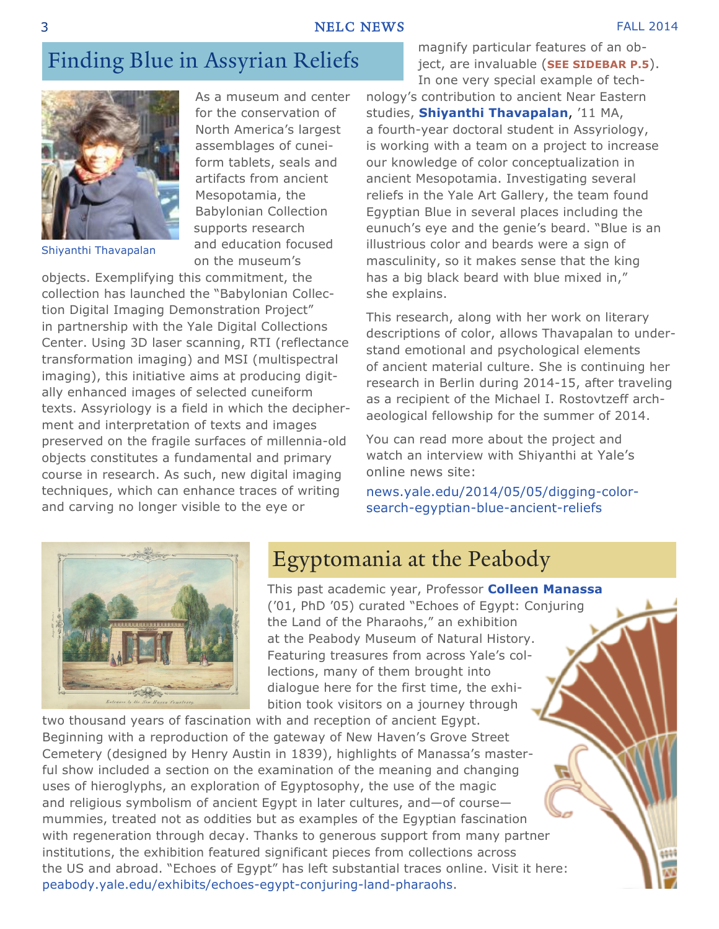#### 3 NELC NEWS FALL 2014

### Finding Blue in Assyrian Reliefs



Shiyanthi Thavapalan

As a museum and center for the conservation of North America's largest assemblages of cuneiform tablets, seals and artifacts from ancient Mesopotamia, the Babylonian Collection supports research and education focused on the museum's

objects. Exemplifying this commitment, the collection has launched the "Babylonian Collection Digital Imaging Demonstration Project" in partnership with the Yale Digital Collections Center. Using 3D laser scanning, RTI (reflectance transformation imaging) and MSI (multispectral imaging), this initiative aims at producing digitally enhanced images of selected cuneiform texts. Assyriology is a field in which the decipherment and interpretation of texts and images preserved on the fragile surfaces of millennia-old objects constitutes a fundamental and primary course in research. As such, new digital imaging techniques, which can enhance traces of writing and carving no longer visible to the eye or

In one very special example of technology's contribution to ancient Near Eastern studies, **Shiyanthi Thavapalan**, '11 MA, a fourth-year doctoral student in Assyriology, is working with a team on a project to increase our knowledge of color conceptualization in ancient Mesopotamia. Investigating several reliefs in the Yale Art Gallery, the team found Egyptian Blue in several places including the eunuch's eye and the genie's beard. "Blue is an illustrious color and beards were a sign of masculinity, so it makes sense that the king has a big black beard with blue mixed in," she explains.

magnify particular features of an object, are invaluable (**SEE SIDEBAR P.5**).

This research, along with her work on literary descriptions of color, allows Thavapalan to understand emotional and psychological elements of ancient material culture. She is continuing her research in Berlin during 2014-15, after traveling as a recipient of the Michael I. Rostovtzeff archaeological fellowship for the summer of 2014.

You can read more about the project and watch an interview with Shiyanthi at Yale's online news site:

news.yale.edu/2014/05/05/digging-colorsearch-egyptian-blue-ancient-reliefs



### Egyptomania at the Peabody

This past academic year, Professor **Colleen Manassa** ('01, PhD '05) curated "Echoes of Egypt: Conjuring the Land of the Pharaohs," an exhibition at the Peabody Museum of Natural History. Featuring treasures from across Yale's collections, many of them brought into dialogue here for the first time, the exhibition took visitors on a journey through

two thousand years of fascination with and reception of ancient Egypt. Beginning with a reproduction of the gateway of New Haven's Grove Street Cemetery (designed by Henry Austin in 1839), highlights of Manassa's masterful show included a section on the examination of the meaning and changing uses of hieroglyphs, an exploration of Egyptosophy, the use of the magic and religious symbolism of ancient Egypt in later cultures, and—of course mummies, treated not as oddities but as examples of the Egyptian fascination with regeneration through decay. Thanks to generous support from many partner institutions, the exhibition featured significant pieces from collections across the US and abroad. "Echoes of Egypt" has left substantial traces online. Visit it here: peabody.yale.edu/exhibits/echoes-egypt-conjuring-land-pharaohs.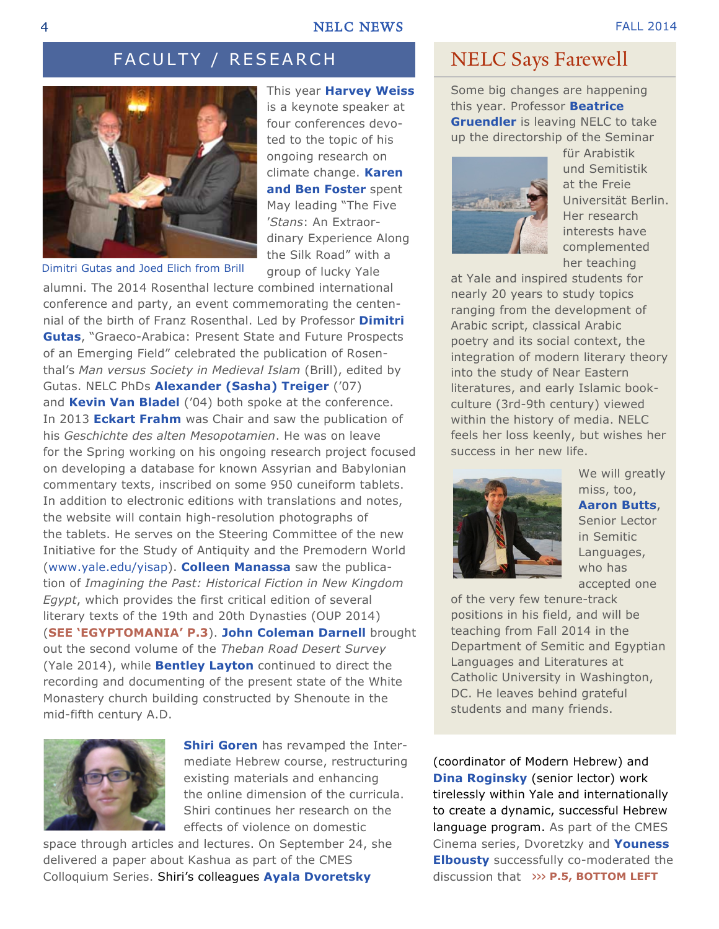### FACULTY / RESEARCH



Dimitri Gutas and Joed Elich from Brill

This year **Harvey Weiss** is a keynote speaker at four conferences devoted to the topic of his ongoing research on climate change. **Karen and Ben Foster** spent May leading "The Five '*Stans*: An Extraordinary Experience Along the Silk Road" with a group of lucky Yale

alumni. The 2014 Rosenthal lecture combined international conference and party, an event commemorating the centennial of the birth of Franz Rosenthal. Led by Professor **Dimitri Gutas**, "Graeco-Arabica: Present State and Future Prospects of an Emerging Field" celebrated the publication of Rosenthal's *Man versus Society in Medieval Islam* (Brill), edited by Gutas. NELC PhDs **Alexander (Sasha) Treiger** ('07) and **Kevin Van Bladel** ('04) both spoke at the conference. In 2013 **Eckart Frahm** was Chair and saw the publication of his *Geschichte des alten Mesopotamien*. He was on leave for the Spring working on his ongoing research project focused on developing a database for known Assyrian and Babylonian commentary texts, inscribed on some 950 cuneiform tablets. In addition to electronic editions with translations and notes, the website will contain high-resolution photographs of the tablets. He serves on the Steering Committee of the new Initiative for the Study of Antiquity and the Premodern World (www.yale.edu/yisap). **Colleen Manassa** saw the publication of *Imagining the Past: Historical Fiction in New Kingdom Egypt*, which provides the first critical edition of several literary texts of the 19th and 20th Dynasties (OUP 2014) (**SEE 'EGYPTOMANIA' P.3**). **John Coleman Darnell** brought out the second volume of the *Theban Road Desert Survey* (Yale 2014), while **Bentley Layton** continued to direct the recording and documenting of the present state of the White Monastery church building constructed by Shenoute in the mid-fifth century A.D.



**Shiri Goren** has revamped the Intermediate Hebrew course, restructuring existing materials and enhancing the online dimension of the curricula. Shiri continues her research on the effects of violence on domestic

space through articles and lectures. On September 24, she delivered a paper about Kashua as part of the CMES Colloquium Series. Shiri's colleagues **Ayala Dvoretsky**

### NELC Says Farewell

Some big changes are happening this year. Professor **Beatrice Gruendler** is leaving NELC to take up the directorship of the Seminar



für Arabistik und Semitistik at the Freie Universität Berlin. Her research interests have complemented her teaching

at Yale and inspired students for nearly 20 years to study topics ranging from the development of Arabic script, classical Arabic poetry and its social context, the integration of modern literary theory into the study of Near Eastern literatures, and early Islamic bookculture (3rd-9th century) viewed within the history of media. NELC feels her loss keenly, but wishes her success in her new life.



We will greatly miss, too, **Aaron Butts**, Senior Lector in Semitic Languages, who has accepted one

of the very few tenure-track positions in his field, and will be teaching from Fall 2014 in the Department of Semitic and Egyptian Languages and Literatures at Catholic University in Washington, DC. He leaves behind grateful students and many friends.

(coordinator of Modern Hebrew) and **Dina Roginsky** (senior lector) work tirelessly within Yale and internationally to create a dynamic, successful Hebrew language program. As part of the CMES Cinema series, Dvoretzky and **Youness Elbousty** successfully co-moderated the discussion that **>>> P.5, BOTTOM LEFT**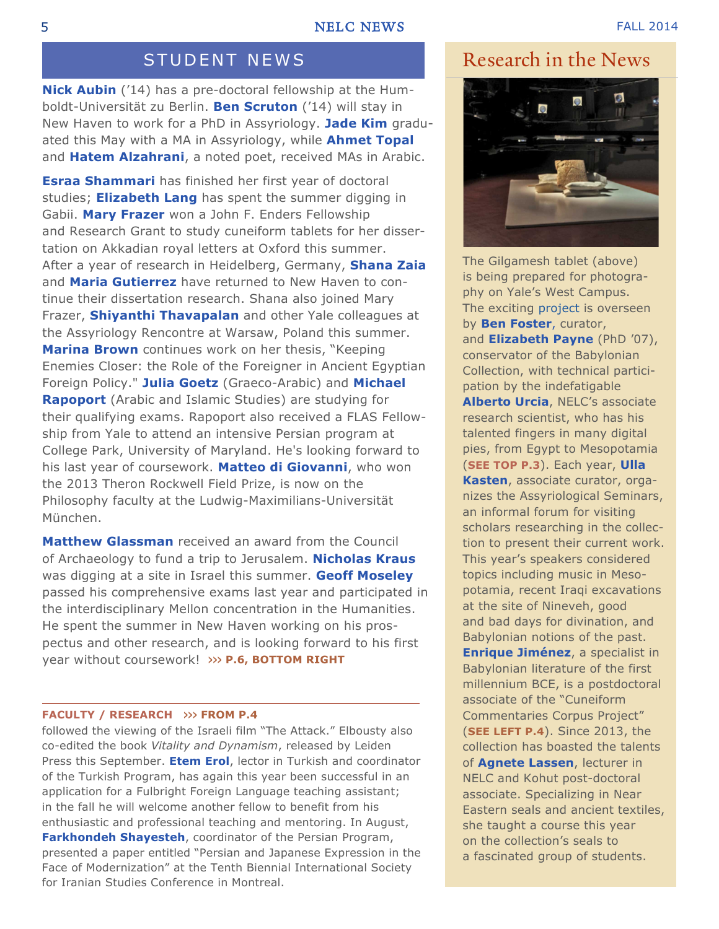**Nick Aubin** ('14) has a pre-doctoral fellowship at the Humboldt-Universität zu Berlin. **Ben Scruton** ('14) will stay in New Haven to work for a PhD in Assyriology. **Jade Kim** graduated this May with a MA in Assyriology, while **Ahmet Topal** and **Hatem Alzahrani**, a noted poet, received MAs in Arabic.

**Esraa Shammari** has finished her first year of doctoral studies; **Elizabeth Lang** has spent the summer digging in Gabii. **Mary Frazer** won a John F. Enders Fellowship and Research Grant to study cuneiform tablets for her dissertation on Akkadian royal letters at Oxford this summer. After a year of research in Heidelberg, Germany, **Shana Zaia** and **Maria Gutierrez** have returned to New Haven to continue their dissertation research. Shana also joined Mary Frazer, **Shiyanthi Thavapalan** and other Yale colleagues at the Assyriology Rencontre at Warsaw, Poland this summer. **Marina Brown** continues work on her thesis, "Keeping Enemies Closer: the Role of the Foreigner in Ancient Egyptian Foreign Policy." **Julia Goetz** (Graeco-Arabic) and **Michael Rapoport** (Arabic and Islamic Studies) are studying for their qualifying exams. Rapoport also received a FLAS Fellowship from Yale to attend an intensive Persian program at College Park, University of Maryland. He's looking forward to his last year of coursework. **Matteo di Giovanni**, who won the 2013 Theron Rockwell Field Prize, is now on the Philosophy faculty at the Ludwig-Maximilians-Universität München.

**Matthew Glassman** received an award from the Council of Archaeology to fund a trip to Jerusalem. **Nicholas Kraus** was digging at a site in Israel this summer. **Geoff Moseley** passed his comprehensive exams last year and participated in the interdisciplinary Mellon concentration in the Humanities. He spent the summer in New Haven working on his prospectus and other research, and is looking forward to his first year without coursework! **>>> P.6, BOTTOM RIGHT**

#### **FACULTY / RESEARCH >>> FROM P.4**

followed the viewing of the Israeli film "The Attack." Elbousty also co-edited the book *Vitality and Dynamism*, released by Leiden Press this September. **Etem Erol**, lector in Turkish and coordinator of the Turkish Program, has again this year been successful in an application for a Fulbright Foreign Language teaching assistant; in the fall he will welcome another fellow to benefit from his enthusiastic and professional teaching and mentoring. In August, **Farkhondeh Shayesteh**, coordinator of the Persian Program, presented a paper entitled "Persian and Japanese Expression in the Face of Modernization" at the Tenth Biennial International Society for Iranian Studies Conference in Montreal.

### STUDENT NEWS Research in the News



The Gilgamesh tablet (above) is being prepared for photography on Yale's West Campus. The exciting project is overseen by **Ben Foster**, curator, and **Elizabeth Payne** (PhD '07), conservator of the Babylonian Collection, with technical participation by the indefatigable **Alberto Urcia**, NELC's associate research scientist, who has his talented fingers in many digital pies, from Egypt to Mesopotamia (**SEE TOP P.3**). Each year, **Ulla Kasten**, associate curator, organizes the Assyriological Seminars, an informal forum for visiting scholars researching in the collection to present their current work. This year's speakers considered topics including music in Mesopotamia, recent Iraqi excavations at the site of Nineveh, good and bad days for divination, and Babylonian notions of the past. **Enrique Jiménez**, a specialist in Babylonian literature of the first millennium BCE, is a postdoctoral associate of the "Cuneiform Commentaries Corpus Project" (**SEE LEFT P.4**). Since 2013, the collection has boasted the talents of **Agnete Lassen**, lecturer in NELC and Kohut post-doctoral associate. Specializing in Near Eastern seals and ancient textiles, she taught a course this year on the collection's seals to a fascinated group of students.